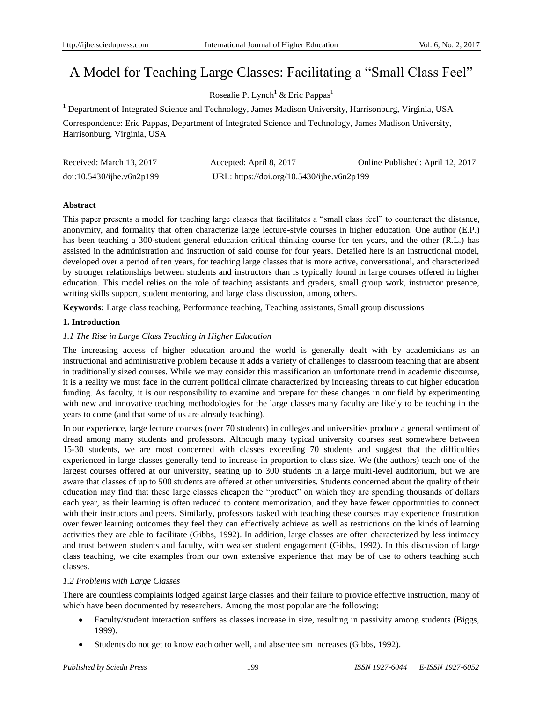# A Model for Teaching Large Classes: Facilitating a "Small Class Feel"

Rosealie P. Lynch<sup>1</sup> & Eric Pappas<sup>1</sup>

<sup>1</sup> Department of Integrated Science and Technology, James Madison University, Harrisonburg, Virginia, USA

Correspondence: Eric Pappas, Department of Integrated Science and Technology, James Madison University, Harrisonburg, Virginia, USA

| Received: March 13, 2017  | Accepted: April 8, 2017                    | Online Published: April 12, 2017 |
|---------------------------|--------------------------------------------|----------------------------------|
| doi:10.5430/ijhe.v6n2p199 | URL: https://doi.org/10.5430/ijhe.v6n2p199 |                                  |

# **Abstract**

This paper presents a model for teaching large classes that facilitates a "small class feel" to counteract the distance, anonymity, and formality that often characterize large lecture-style courses in higher education. One author (E.P.) has been teaching a 300-student general education critical thinking course for ten years, and the other (R.L.) has assisted in the administration and instruction of said course for four years. Detailed here is an instructional model, developed over a period of ten years, for teaching large classes that is more active, conversational, and characterized by stronger relationships between students and instructors than is typically found in large courses offered in higher education. This model relies on the role of teaching assistants and graders, small group work, instructor presence, writing skills support, student mentoring, and large class discussion, among others.

**Keywords:** Large class teaching, Performance teaching, Teaching assistants, Small group discussions

## **1. Introduction**

## *1.1 The Rise in Large Class Teaching in Higher Education*

The increasing access of higher education around the world is generally dealt with by academicians as an instructional and administrative problem because it adds a variety of challenges to classroom teaching that are absent in traditionally sized courses. While we may consider this massification an unfortunate trend in academic discourse, it is a reality we must face in the current political climate characterized by increasing threats to cut higher education funding. As faculty, it is our responsibility to examine and prepare for these changes in our field by experimenting with new and innovative teaching methodologies for the large classes many faculty are likely to be teaching in the years to come (and that some of us are already teaching).

In our experience, large lecture courses (over 70 students) in colleges and universities produce a general sentiment of dread among many students and professors. Although many typical university courses seat somewhere between 15-30 students, we are most concerned with classes exceeding 70 students and suggest that the difficulties experienced in large classes generally tend to increase in proportion to class size. We (the authors) teach one of the largest courses offered at our university, seating up to 300 students in a large multi-level auditorium, but we are aware that classes of up to 500 students are offered at other universities. Students concerned about the quality of their education may find that these large classes cheapen the "product" on which they are spending thousands of dollars each year, as their learning is often reduced to content memorization, and they have fewer opportunities to connect with their instructors and peers. Similarly, professors tasked with teaching these courses may experience frustration over fewer learning outcomes they feel they can effectively achieve as well as restrictions on the kinds of learning activities they are able to facilitate (Gibbs, 1992). In addition, large classes are often characterized by less intimacy and trust between students and faculty, with weaker student engagement (Gibbs, 1992). In this discussion of large class teaching, we cite examples from our own extensive experience that may be of use to others teaching such classes.

# *1.2 Problems with Large Classes*

There are countless complaints lodged against large classes and their failure to provide effective instruction, many of which have been documented by researchers. Among the most popular are the following:

- Faculty/student interaction suffers as classes increase in size, resulting in passivity among students (Biggs, 1999).
- Students do not get to know each other well, and absenteeism increases (Gibbs, 1992).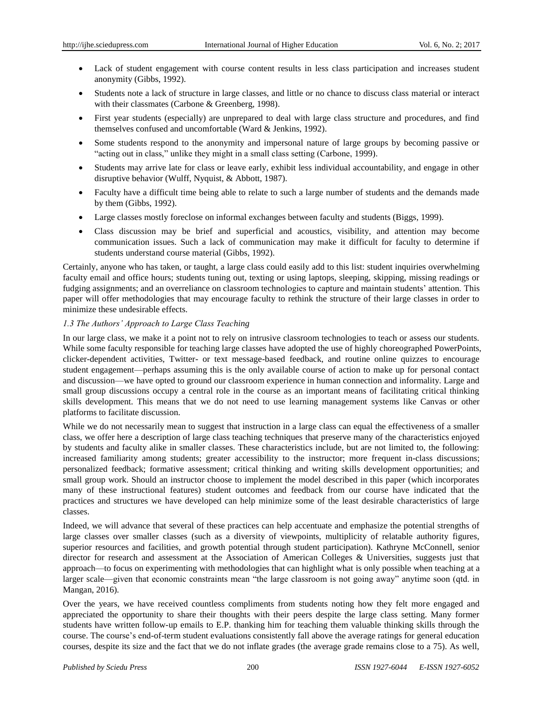- Lack of student engagement with course content results in less class participation and increases student anonymity (Gibbs, 1992).
- Students note a lack of structure in large classes, and little or no chance to discuss class material or interact with their classmates (Carbone & Greenberg, 1998).
- First year students (especially) are unprepared to deal with large class structure and procedures, and find themselves confused and uncomfortable (Ward & Jenkins, 1992).
- Some students respond to the anonymity and impersonal nature of large groups by becoming passive or "acting out in class," unlike they might in a small class setting (Carbone, [1999\)](http://www.tandfonline.com/doi/full/10.1080/13562511003620001?scroll=top&needAccess=true).
- Students may arrive late for class or leave early, exhibit less individual accountability, and engage in other disruptive behavior (Wulff, Nyquist, & Abbott, 1987).
- Faculty have a difficult time being able to relate to such a large number of students and the demands made by them (Gibbs, 1992).
- Large classes mostly foreclose on informal exchanges between faculty and students (Biggs, 1999).
- Class discussion may be brief and superficial and acoustics, visibility, and attention may become communication issues. Such a lack of communication may make it difficult for faculty to determine if students understand course material (Gibbs, 1992).

Certainly, anyone who has taken, or taught, a large class could easily add to this list: student inquiries overwhelming faculty email and office hours; students tuning out, texting or using laptops, sleeping, skipping, missing readings or fudging assignments; and an overreliance on classroom technologies to capture and maintain students' attention. This paper will offer methodologies that may encourage faculty to rethink the structure of their large classes in order to minimize these undesirable effects.

## *1.3 The Authors' Approach to Large Class Teaching*

In our large class, we make it a point not to rely on intrusive classroom technologies to teach or assess our students. While some faculty responsible for teaching large classes have adopted the use of highly choreographed PowerPoints, clicker-dependent activities, Twitter- or text message-based feedback, and routine online quizzes to encourage student engagement—perhaps assuming this is the only available course of action to make up for personal contact and discussion—we have opted to ground our classroom experience in human connection and informality. Large and small group discussions occupy a central role in the course as an important means of facilitating critical thinking skills development. This means that we do not need to use learning management systems like Canvas or other platforms to facilitate discussion.

While we do not necessarily mean to suggest that instruction in a large class can equal the effectiveness of a smaller class, we offer here a description of large class teaching techniques that preserve many of the characteristics enjoyed by students and faculty alike in smaller classes. These characteristics include, but are not limited to, the following: increased familiarity among students; greater accessibility to the instructor; more frequent in-class discussions; personalized feedback; formative assessment; critical thinking and writing skills development opportunities; and small group work. Should an instructor choose to implement the model described in this paper (which incorporates many of these instructional features) student outcomes and feedback from our course have indicated that the practices and structures we have developed can help minimize some of the least desirable characteristics of large classes.

Indeed, we will advance that several of these practices can help accentuate and emphasize the potential strengths of large classes over smaller classes (such as a diversity of viewpoints, multiplicity of relatable authority figures, superior resources and facilities, and growth potential through student participation). Kathryne McConnell, senior director for research and assessment at the Association of American Colleges & Universities, suggests just that approach—to focus on experimenting with methodologies that can highlight what is only possible when teaching at a larger scale—given that economic constraints mean "the large classroom is not going away" anytime soon (qtd. in Mangan, 2016)*.*

Over the years, we have received countless compliments from students noting how they felt more engaged and appreciated the opportunity to share their thoughts with their peers despite the large class setting. Many former students have written follow-up emails to E.P. thanking him for teaching them valuable thinking skills through the course. The course's end-of-term student evaluations consistently fall above the average ratings for general education courses, despite its size and the fact that we do not inflate grades (the average grade remains close to a 75). As well,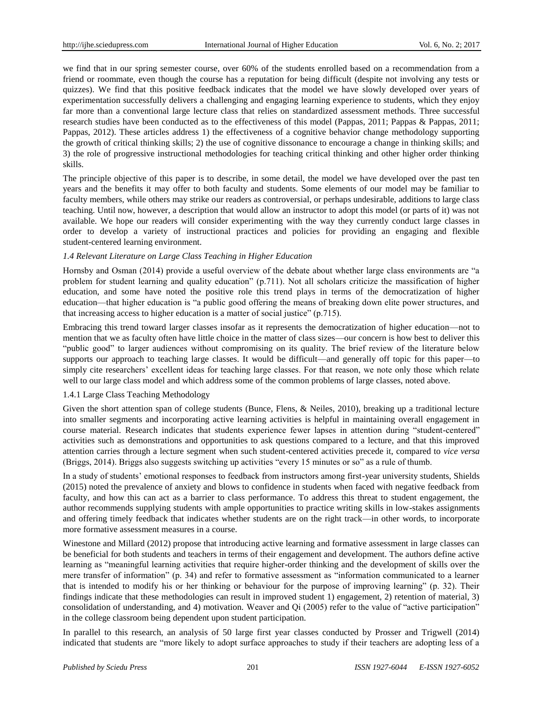we find that in our spring semester course, over 60% of the students enrolled based on a recommendation from a friend or roommate, even though the course has a reputation for being difficult (despite not involving any tests or quizzes). We find that this positive feedback indicates that the model we have slowly developed over years of experimentation successfully delivers a challenging and engaging learning experience to students, which they enjoy far more than a conventional large lecture class that relies on standardized assessment methods. Three successful research studies have been conducted as to the effectiveness of this model (Pappas, 2011; Pappas & Pappas, 2011; Pappas, 2012). These articles address 1) the effectiveness of a cognitive behavior change methodology supporting the growth of critical thinking skills; 2) the use of cognitive dissonance to encourage a change in thinking skills; and 3) the role of progressive instructional methodologies for teaching critical thinking and other higher order thinking skills.

The principle objective of this paper is to describe, in some detail, the model we have developed over the past ten years and the benefits it may offer to both faculty and students. Some elements of our model may be familiar to faculty members, while others may strike our readers as controversial, or perhaps undesirable, additions to large class teaching. Until now, however, a description that would allow an instructor to adopt this model (or parts of it) was not available. We hope our readers will consider experimenting with the way they currently conduct large classes in order to develop a variety of instructional practices and policies for providing an engaging and flexible student-centered learning environment.

## *1.4 Relevant Literature on Large Class Teaching in Higher Education*

Hornsby and Osman (2014) provide a useful overview of the debate about whether large class environments are "a problem for student learning and quality education" (p.711). Not all scholars criticize the massification of higher education, and some have noted the positive role this trend plays in terms of the democratization of higher education—that higher education is "a public good offering the means of breaking down elite power structures, and that increasing access to higher education is a matter of social justice" (p.715).

Embracing this trend toward larger classes insofar as it represents the democratization of higher education—not to mention that we as faculty often have little choice in the matter of class sizes—our concern is how best to deliver this "public good" to larger audiences without compromising on its quality. The brief review of the literature below supports our approach to teaching large classes. It would be difficult—and generally off topic for this paper—to simply cite researchers' excellent ideas for teaching large classes. For that reason, we note only those which relate well to our large class model and which address some of the common problems of large classes, noted above.

## 1.4.1 Large Class Teaching Methodology

Given the short attention span of college students (Bunce, Flens, & Neiles, 2010), breaking up a traditional lecture into smaller segments and incorporating active learning activities is helpful in maintaining overall engagement in course material. Research indicates that students experience fewer lapses in attention during "student-centered" activities such as demonstrations and opportunities to ask questions compared to a lecture, and that this improved attention carries through a lecture segment when such student-centered activities precede it, compared to *vice versa*  (Briggs, 2014). Briggs also suggests switching up activities "every 15 minutes or so" as a rule of thumb.

In a study of students' emotional responses to feedback from instructors among first-year university students, Shields (2015) noted the prevalence of anxiety and blows to confidence in students when faced with negative feedback from faculty, and how this can act as a barrier to class performance. To address this threat to student engagement, the author recommends supplying students with ample opportunities to practice writing skills in low-stakes assignments and offering timely feedback that indicates whether students are on the right track—in other words, to incorporate more formative assessment measures in a course.

Winestone and Millard (2012) propose that introducing active learning and formative assessment in large classes can be beneficial for both students and teachers in terms of their engagement and development. The authors define active learning as "meaningful learning activities that require higher-order thinking and the development of skills over the mere transfer of information" (p. 34) and refer to formative assessment as "information communicated to a learner that is intended to modify his or her thinking or behaviour for the purpose of improving learning" (p. 32). Their findings indicate that these methodologies can result in improved student 1) engagement, 2) retention of material, 3) consolidation of understanding, and 4) motivation. Weaver and Qi (2005) refer to the value of "active participation" in the college classroom being dependent upon student participation.

In parallel to this research, an analysis of 50 large first year classes conducted by Prosser and Trigwell (2014) indicated that students are "more likely to adopt surface approaches to study if their teachers are adopting less of a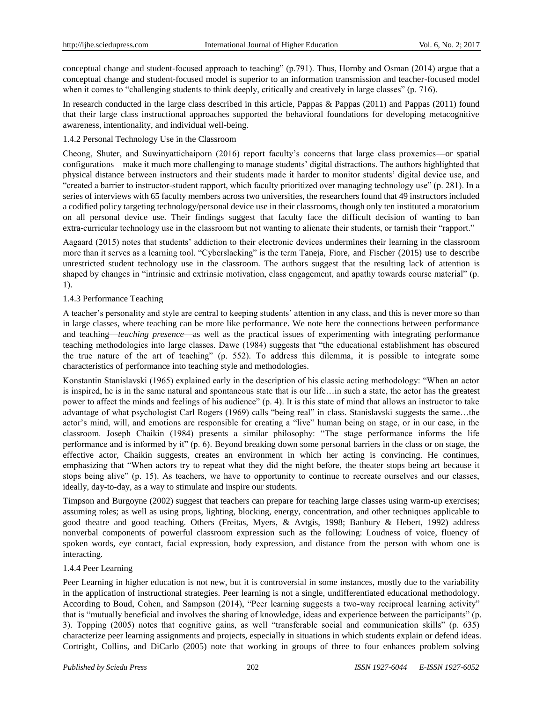conceptual change and student-focused approach to teaching" (p.791). Thus, Hornby and Osman (2014) argue that a conceptual change and student-focused model is superior to an information transmission and teacher-focused model when it comes to "challenging students to think deeply, critically and creatively in large classes" (p. 716).

In research conducted in the large class described in this article, Pappas & Pappas (2011) and Pappas (2011) found that their large class instructional approaches supported the behavioral foundations for developing metacognitive awareness, intentionality, and individual well-being.

# 1.4.2 Personal Technology Use in the Classroom

Cheong, Shuter, and Suwinyattichaiporn (2016) report faculty's concerns that large class proxemics—or spatial configurations—make it much more challenging to manage students' digital distractions. The authors highlighted that physical distance between instructors and their students made it harder to monitor students' digital device use, and "created a barrier to instructor-student rapport, which faculty prioritized over managing technology use" (p. 281). In a series of interviews with 65 faculty members across two universities, the researchers found that 49 instructors included a codified policy targeting technology/personal device use in their classrooms, though only ten instituted a moratorium on all personal device use. Their findings suggest that faculty face the difficult decision of wanting to ban extra-curricular technology use in the classroom but not wanting to alienate their students, or tarnish their "rapport."

Aagaard (2015) notes that students' addiction to their electronic devices undermines their learning in the classroom more than it serves as a learning tool. "Cyberslacking" is the term Taneja, Fiore, and Fischer (2015) use to describe unrestricted student technology use in the classroom. The authors suggest that the resulting lack of attention is shaped by changes in "intrinsic and extrinsic motivation, class engagement, and apathy towards course material" (p. 1).

# 1.4.3 Performance Teaching

A teacher's personality and style are central to keeping students' attention in any class, and this is never more so than in large classes, where teaching can be more like performance. We note here the connections between performance and teaching—*teaching presence*—as well as the practical issues of experimenting with integrating performance teaching methodologies into large classes. Dawe (1984) suggests that "the educational establishment has obscured the true nature of the art of teaching" (p. 552). To address this dilemma, it is possible to integrate some characteristics of performance into teaching style and methodologies.

Konstantin Stanislavski (1965) explained early in the description of his classic acting methodology: "When an actor is inspired, he is in the same natural and spontaneous state that is our life…in such a state, the actor has the greatest power to affect the minds and feelings of his audience" (p. 4). It is this state of mind that allows an instructor to take advantage of what psychologist Carl Rogers (1969) calls "being real" in class. Stanislavski suggests the same…the actor's mind, will, and emotions are responsible for creating a "live" human being on stage, or in our case, in the classroom. Joseph Chaikin (1984) presents a similar philosophy: "The stage performance informs the life performance and is informed by it" (p. 6). Beyond breaking down some personal barriers in the class or on stage, the effective actor, Chaikin suggests, creates an environment in which her acting is convincing. He continues, emphasizing that "When actors try to repeat what they did the night before, the theater stops being art because it stops being alive" (p. 15). As teachers, we have to opportunity to continue to recreate ourselves and our classes, ideally, day-to-day, as a way to stimulate and inspire our students.

Timpson and Burgoyne (2002) suggest that teachers can prepare for teaching large classes using warm-up exercises; assuming roles; as well as using props, lighting, blocking, energy, concentration, and other techniques applicable to good theatre and good teaching. Others (Freitas, Myers, & Avtgis, 1998; Banbury & Hebert, 1992) address nonverbal components of powerful classroom expression such as the following: Loudness of voice, fluency of spoken words, eye contact, facial expression, body expression, and distance from the person with whom one is interacting.

# 1.4.4 Peer Learning

Peer Learning in higher education is not new, but it is controversial in some instances, mostly due to the variability in the application of instructional strategies. Peer learning is not a single, undifferentiated educational methodology. According to Boud, Cohen, and Sampson (2014), "Peer learning suggests a two-way reciprocal learning activity" that is "mutually beneficial and involves the sharing of knowledge, ideas and experience between the participants" (p. 3). Topping (2005) notes that cognitive gains, as well "transferable social and communication skills" (p. 635) characterize peer learning assignments and projects, especially in situations in which students explain or defend ideas. Cortright, Collins, and DiCarlo (2005) note that working in groups of three to four enhances problem solving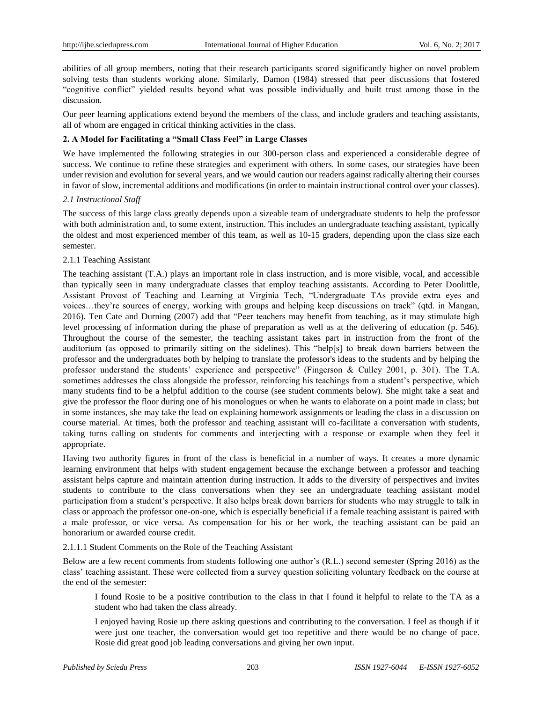abilities of all group members, noting that their research participants scored significantly higher on novel problem solving tests than students working alone. Similarly, Damon (1984) stressed that peer discussions that fostered "cognitive conflict" yielded results beyond what was possible individually and built trust among those in the discussion.

Our peer learning applications extend beyond the members of the class, and include graders and teaching assistants, all of whom are engaged in critical thinking activities in the class.

# **2. A Model for Facilitating a "Small Class Feel" in Large Classes**

We have implemented the following strategies in our 300-person class and experienced a considerable degree of success. We continue to refine these strategies and experiment with others. In some cases, our strategies have been under revision and evolution for several years, and we would caution our readers against radically altering their courses in favor of slow, incremental additions and modifications (in order to maintain instructional control over your classes).

# *2.1 Instructional Staff*

The success of this large class greatly depends upon a sizeable team of undergraduate students to help the professor with both administration and, to some extent, instruction. This includes an undergraduate teaching assistant, typically the oldest and most experienced member of this team, as well as 10-15 graders, depending upon the class size each semester.

# 2.1.1 Teaching Assistant

The teaching assistant (T.A.) plays an important role in class instruction, and is more visible, vocal, and accessible than typically seen in many undergraduate classes that employ teaching assistants. According to Peter Doolittle, Assistant Provost of Teaching and Learning at Virginia Tech, "Undergraduate TAs provide extra eyes and voices…they're sources of energy, working with groups and helping keep discussions on track" (qtd. in Mangan, 2016). Ten Cate and Durning (2007) add that "Peer teachers may benefit from teaching, as it may stimulate high level processing of information during the phase of preparation as well as at the delivering of education (p. 546). Throughout the course of the semester, the teaching assistant takes part in instruction from the front of the auditorium (as opposed to primarily sitting on the sidelines). This "help[s] to break down barriers between the professor and the undergraduates both by helping to translate the professor's ideas to the students and by helping the professor understand the students' experience and perspective" (Fingerson & Culley 2001, p. 301). The T.A. sometimes addresses the class alongside the professor, reinforcing his teachings from a student's perspective, which many students find to be a helpful addition to the course (see student comments below). She might take a seat and give the professor the floor during one of his monologues or when he wants to elaborate on a point made in class; but in some instances, she may take the lead on explaining homework assignments or leading the class in a discussion on course material. At times, both the professor and teaching assistant will co-facilitate a conversation with students, taking turns calling on students for comments and interjecting with a response or example when they feel it appropriate.

Having two authority figures in front of the class is beneficial in a number of ways. It creates a more dynamic learning environment that helps with student engagement because the exchange between a professor and teaching assistant helps capture and maintain attention during instruction. It adds to the diversity of perspectives and invites students to contribute to the class conversations when they see an undergraduate teaching assistant model participation from a student's perspective. It also helps break down barriers for students who may struggle to talk in class or approach the professor one-on-one, which is especially beneficial if a female teaching assistant is paired with a male professor, or vice versa. As compensation for his or her work, the teaching assistant can be paid an honorarium or awarded course credit.

2.1.1.1 Student Comments on the Role of the Teaching Assistant

Below are a few recent comments from students following one author's (R.L.) second semester (Spring 2016) as the class' teaching assistant. These were collected from a survey question soliciting voluntary feedback on the course at the end of the semester:

I found Rosie to be a positive contribution to the class in that I found it helpful to relate to the TA as a student who had taken the class already.

I enjoyed having Rosie up there asking questions and contributing to the conversation. I feel as though if it were just one teacher, the conversation would get too repetitive and there would be no change of pace. Rosie did great good job leading conversations and giving her own input.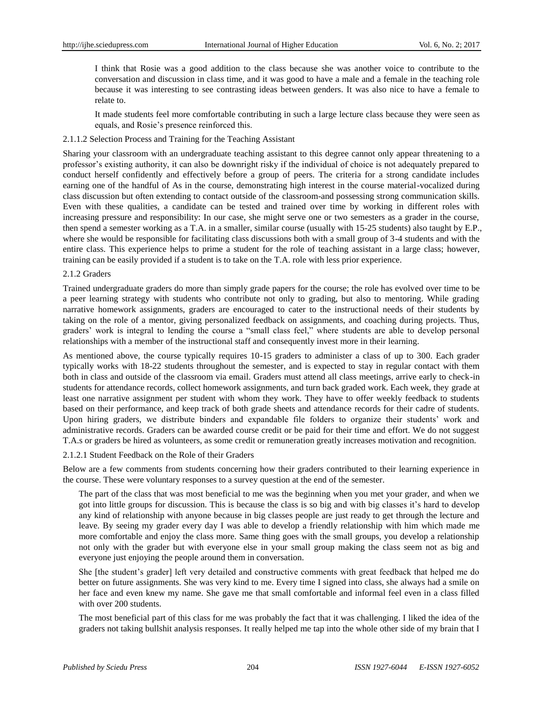I think that Rosie was a good addition to the class because she was another voice to contribute to the conversation and discussion in class time, and it was good to have a male and a female in the teaching role because it was interesting to see contrasting ideas between genders. It was also nice to have a female to relate to.

It made students feel more comfortable contributing in such a large lecture class because they were seen as equals, and Rosie's presence reinforced this.

## 2.1.1.2 Selection Process and Training for the Teaching Assistant

Sharing your classroom with an undergraduate teaching assistant to this degree cannot only appear threatening to a professor's existing authority, it can also be downright risky if the individual of choice is not adequately prepared to conduct herself confidently and effectively before a group of peers. The criteria for a strong candidate includes earning one of the handful of As in the course, demonstrating high interest in the course material-vocalized during class discussion but often extending to contact outside of the classroom-and possessing strong communication skills. Even with these qualities, a candidate can be tested and trained over time by working in different roles with increasing pressure and responsibility: In our case, she might serve one or two semesters as a grader in the course, then spend a semester working as a T.A. in a smaller, similar course (usually with 15-25 students) also taught by E.P., where she would be responsible for facilitating class discussions both with a small group of 3-4 students and with the entire class. This experience helps to prime a student for the role of teaching assistant in a large class; however, training can be easily provided if a student is to take on the T.A. role with less prior experience.

## 2.1.2 Graders

Trained undergraduate graders do more than simply grade papers for the course; the role has evolved over time to be a peer learning strategy with students who contribute not only to grading, but also to mentoring. While grading narrative homework assignments, graders are encouraged to cater to the instructional needs of their students by taking on the role of a mentor, giving personalized feedback on assignments, and coaching during projects. Thus, graders' work is integral to lending the course a "small class feel," where students are able to develop personal relationships with a member of the instructional staff and consequently invest more in their learning.

As mentioned above, the course typically requires 10-15 graders to administer a class of up to 300. Each grader typically works with 18-22 students throughout the semester, and is expected to stay in regular contact with them both in class and outside of the classroom via email. Graders must attend all class meetings, arrive early to check-in students for attendance records, collect homework assignments, and turn back graded work. Each week, they grade at least one narrative assignment per student with whom they work. They have to offer weekly feedback to students based on their performance, and keep track of both grade sheets and attendance records for their cadre of students. Upon hiring graders, we distribute binders and expandable file folders to organize their students' work and administrative records. Graders can be awarded course credit or be paid for their time and effort. We do not suggest T.A.s or graders be hired as volunteers, as some credit or remuneration greatly increases motivation and recognition.

## 2.1.2.1 Student Feedback on the Role of their Graders

Below are a few comments from students concerning how their graders contributed to their learning experience in the course. These were voluntary responses to a survey question at the end of the semester.

The part of the class that was most beneficial to me was the beginning when you met your grader, and when we got into little groups for discussion. This is because the class is so big and with big classes it's hard to develop any kind of relationship with anyone because in big classes people are just ready to get through the lecture and leave. By seeing my grader every day I was able to develop a friendly relationship with him which made me more comfortable and enjoy the class more. Same thing goes with the small groups, you develop a relationship not only with the grader but with everyone else in your small group making the class seem not as big and everyone just enjoying the people around them in conversation.

She [the student's grader] left very detailed and constructive comments with great feedback that helped me do better on future assignments. She was very kind to me. Every time I signed into class, she always had a smile on her face and even knew my name. She gave me that small comfortable and informal feel even in a class filled with over 200 students.

The most beneficial part of this class for me was probably the fact that it was challenging. I liked the idea of the graders not taking bullshit analysis responses. It really helped me tap into the whole other side of my brain that I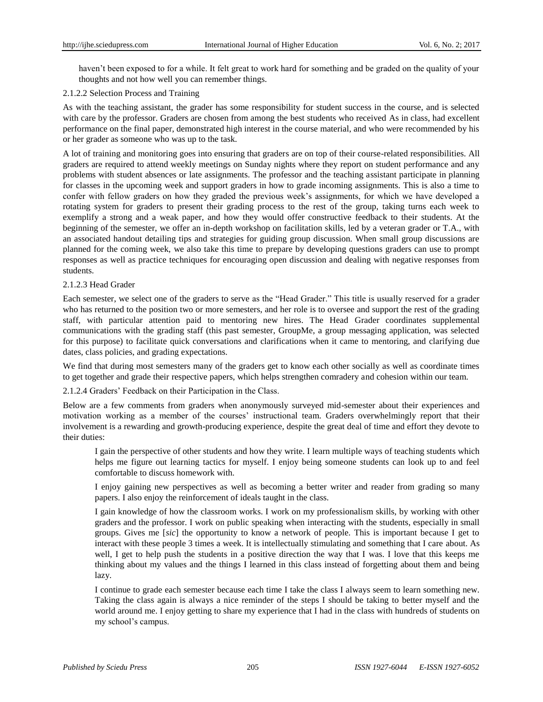haven't been exposed to for a while. It felt great to work hard for something and be graded on the quality of your thoughts and not how well you can remember things.

#### 2.1.2.2 Selection Process and Training

As with the teaching assistant, the grader has some responsibility for student success in the course, and is selected with care by the professor. Graders are chosen from among the best students who received As in class, had excellent performance on the final paper, demonstrated high interest in the course material, and who were recommended by his or her grader as someone who was up to the task.

A lot of training and monitoring goes into ensuring that graders are on top of their course-related responsibilities. All graders are required to attend weekly meetings on Sunday nights where they report on student performance and any problems with student absences or late assignments. The professor and the teaching assistant participate in planning for classes in the upcoming week and support graders in how to grade incoming assignments. This is also a time to confer with fellow graders on how they graded the previous week's assignments, for which we have developed a rotating system for graders to present their grading process to the rest of the group, taking turns each week to exemplify a strong and a weak paper, and how they would offer constructive feedback to their students. At the beginning of the semester, we offer an in-depth workshop on facilitation skills, led by a veteran grader or T.A., with an associated handout detailing tips and strategies for guiding group discussion. When small group discussions are planned for the coming week, we also take this time to prepare by developing questions graders can use to prompt responses as well as practice techniques for encouraging open discussion and dealing with negative responses from students.

## 2.1.2.3 Head Grader

Each semester, we select one of the graders to serve as the "Head Grader." This title is usually reserved for a grader who has returned to the position two or more semesters, and her role is to oversee and support the rest of the grading staff, with particular attention paid to mentoring new hires. The Head Grader coordinates supplemental communications with the grading staff (this past semester, GroupMe, a group messaging application, was selected for this purpose) to facilitate quick conversations and clarifications when it came to mentoring, and clarifying due dates, class policies, and grading expectations.

We find that during most semesters many of the graders get to know each other socially as well as coordinate times to get together and grade their respective papers, which helps strengthen comradery and cohesion within our team.

2.1.2.4 Graders' Feedback on their Participation in the Class.

Below are a few comments from graders when anonymously surveyed mid-semester about their experiences and motivation working as a member of the courses' instructional team. Graders overwhelmingly report that their involvement is a rewarding and growth-producing experience, despite the great deal of time and effort they devote to their duties:

I gain the perspective of other students and how they write. I learn multiple ways of teaching students which helps me figure out learning tactics for myself. I enjoy being someone students can look up to and feel comfortable to discuss homework with.

I enjoy gaining new perspectives as well as becoming a better writer and reader from grading so many papers. I also enjoy the reinforcement of ideals taught in the class.

I gain knowledge of how the classroom works. I work on my professionalism skills, by working with other graders and the professor. I work on public speaking when interacting with the students, especially in small groups. Gives me [*sic*] the opportunity to know a network of people. This is important because I get to interact with these people 3 times a week. It is intellectually stimulating and something that I care about. As well, I get to help push the students in a positive direction the way that I was. I love that this keeps me thinking about my values and the things I learned in this class instead of forgetting about them and being lazy.

I continue to grade each semester because each time I take the class I always seem to learn something new. Taking the class again is always a nice reminder of the steps I should be taking to better myself and the world around me. I enjoy getting to share my experience that I had in the class with hundreds of students on my school's campus.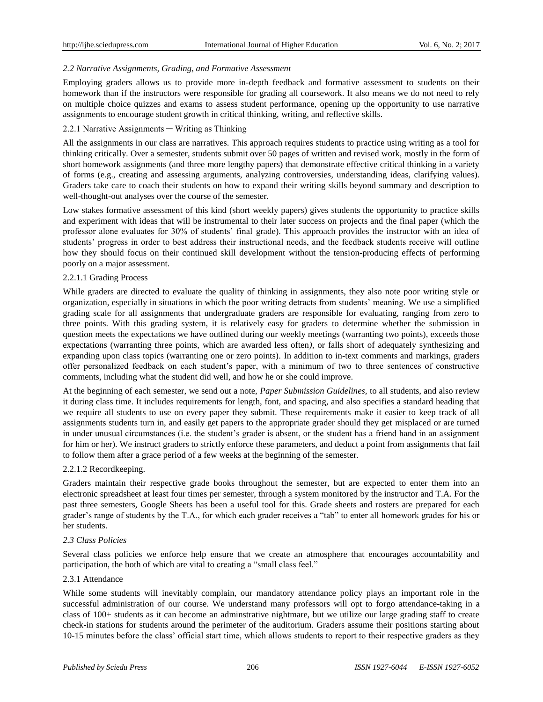## *2.2 Narrative Assignments, Grading, and Formative Assessment*

Employing graders allows us to provide more in-depth feedback and formative assessment to students on their homework than if the instructors were responsible for grading all coursework. It also means we do not need to rely on multiple choice quizzes and exams to assess student performance, opening up the opportunity to use narrative assignments to encourage student growth in critical thinking, writing, and reflective skills.

## 2.2.1 Narrative Assignments — Writing as Thinking

All the assignments in our class are narratives. This approach requires students to practice using writing as a tool for thinking critically. Over a semester, students submit over 50 pages of written and revised work, mostly in the form of short homework assignments (and three more lengthy papers) that demonstrate effective critical thinking in a variety of forms (e.g., creating and assessing arguments, analyzing controversies, understanding ideas, clarifying values). Graders take care to coach their students on how to expand their writing skills beyond summary and description to well-thought-out analyses over the course of the semester.

Low stakes formative assessment of this kind (short weekly papers) gives students the opportunity to practice skills and experiment with ideas that will be instrumental to their later success on projects and the final paper (which the professor alone evaluates for 30% of students' final grade). This approach provides the instructor with an idea of students' progress in order to best address their instructional needs, and the feedback students receive will outline how they should focus on their continued skill development without the tension-producing effects of performing poorly on a major assessment.

## 2.2.1.1 Grading Process

While graders are directed to evaluate the quality of thinking in assignments, they also note poor writing style or organization, especially in situations in which the poor writing detracts from students' meaning. We use a simplified grading scale for all assignments that undergraduate graders are responsible for evaluating, ranging from zero to three points. With this grading system, it is relatively easy for graders to determine whether the submission in question meets the expectations we have outlined during our weekly meetings (warranting two points), exceeds those expectations (warranting three points, which are awarded less often*),* or falls short of adequately synthesizing and expanding upon class topics (warranting one or zero points). In addition to in-text comments and markings, graders offer personalized feedback on each student's paper, with a minimum of two to three sentences of constructive comments, including what the student did well, and how he or she could improve.

At the beginning of each semester, we send out a note, *Paper Submission Guidelines,* to all students, and also review it during class time. It includes requirements for length, font, and spacing, and also specifies a standard heading that we require all students to use on every paper they submit. These requirements make it easier to keep track of all assignments students turn in, and easily get papers to the appropriate grader should they get misplaced or are turned in under unusual circumstances (i.e. the student's grader is absent, or the student has a friend hand in an assignment for him or her). We instruct graders to strictly enforce these parameters, and deduct a point from assignments that fail to follow them after a grace period of a few weeks at the beginning of the semester.

# 2.2.1.2 Recordkeeping.

Graders maintain their respective grade books throughout the semester, but are expected to enter them into an electronic spreadsheet at least four times per semester, through a system monitored by the instructor and T.A. For the past three semesters, Google Sheets has been a useful tool for this. Grade sheets and rosters are prepared for each grader's range of students by the T.A., for which each grader receives a "tab" to enter all homework grades for his or her students.

# *2.3 Class Policies*

Several class policies we enforce help ensure that we create an atmosphere that encourages accountability and participation, the both of which are vital to creating a "small class feel."

## 2.3.1 Attendance

While some students will inevitably complain, our mandatory attendance policy plays an important role in the successful administration of our course. We understand many professors will opt to forgo attendance-taking in a class of 100+ students as it can become an adminstrative nightmare, but we utilize our large grading staff to create check-in stations for students around the perimeter of the auditorium. Graders assume their positions starting about 10-15 minutes before the class' official start time, which allows students to report to their respective graders as they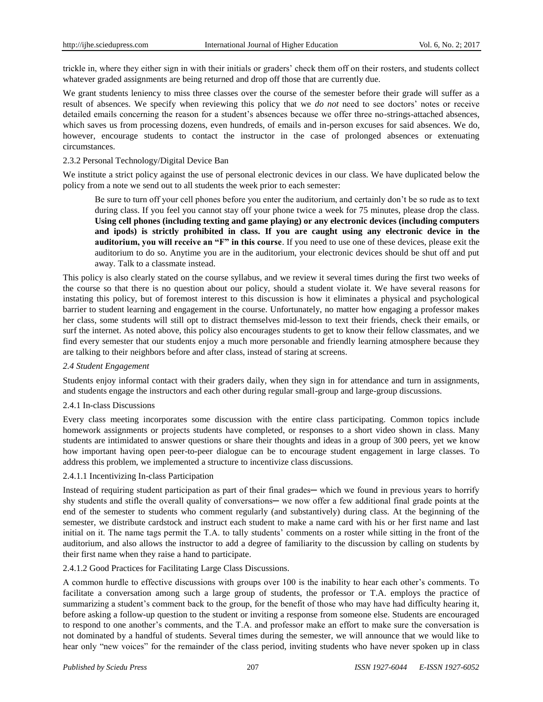trickle in, where they either sign in with their initials or graders' check them off on their rosters, and students collect whatever graded assignments are being returned and drop off those that are currently due.

We grant students leniency to miss three classes over the course of the semester before their grade will suffer as a result of absences. We specify when reviewing this policy that we *do not* need to see doctors' notes or receive detailed emails concerning the reason for a student's absences because we offer three no-strings-attached absences, which saves us from processing dozens, even hundreds, of emails and in-person excuses for said absences. We do, however, encourage students to contact the instructor in the case of prolonged absences or extenuating circumstances.

## 2.3.2 Personal Technology/Digital Device Ban

We institute a strict policy against the use of personal electronic devices in our class. We have duplicated below the policy from a note we send out to all students the week prior to each semester:

Be sure to turn off your cell phones before you enter the auditorium, and certainly don't be so rude as to text during class. If you feel you cannot stay off your phone twice a week for 75 minutes, please drop the class. **Using cell phones (including texting and game playing) or any electronic devices (including computers and ipods) is strictly prohibited in class. If you are caught using any electronic device in the auditorium, you will receive an "F" in this course**. If you need to use one of these devices, please exit the auditorium to do so. Anytime you are in the auditorium, your electronic devices should be shut off and put away. Talk to a classmate instead.

This policy is also clearly stated on the course syllabus, and we review it several times during the first two weeks of the course so that there is no question about our policy, should a student violate it. We have several reasons for instating this policy, but of foremost interest to this discussion is how it eliminates a physical and psychological barrier to student learning and engagement in the course. Unfortunately, no matter how engaging a professor makes her class, some students will still opt to distract themselves mid-lesson to text their friends, check their emails, or surf the internet. As noted above, this policy also encourages students to get to know their fellow classmates, and we find every semester that our students enjoy a much more personable and friendly learning atmosphere because they are talking to their neighbors before and after class, instead of staring at screens.

## *2.4 Student Engagement*

Students enjoy informal contact with their graders daily, when they sign in for attendance and turn in assignments, and students engage the instructors and each other during regular small-group and large-group discussions.

## 2.4.1 In-class Discussions

Every class meeting incorporates some discussion with the entire class participating. Common topics include homework assignments or projects students have completed, or responses to a short video shown in class. Many students are intimidated to answer questions or share their thoughts and ideas in a group of 300 peers, yet we know how important having open peer-to-peer dialogue can be to encourage student engagement in large classes. To address this problem, we implemented a structure to incentivize class discussions.

## 2.4.1.1 Incentivizing In-class Participation

Instead of requiring student participation as part of their final grades— which we found in previous years to horrify shy students and stifle the overall quality of conversations— we now offer a few additional final grade points at the end of the semester to students who comment regularly (and substantively) during class. At the beginning of the semester, we distribute cardstock and instruct each student to make a name card with his or her first name and last initial on it. The name tags permit the T.A. to tally students' comments on a roster while sitting in the front of the auditorium, and also allows the instructor to add a degree of familiarity to the discussion by calling on students by their first name when they raise a hand to participate.

## 2.4.1.2 Good Practices for Facilitating Large Class Discussions.

A common hurdle to effective discussions with groups over 100 is the inability to hear each other's comments. To facilitate a conversation among such a large group of students, the professor or T.A. employs the practice of summarizing a student's comment back to the group, for the benefit of those who may have had difficulty hearing it, before asking a follow-up question to the student or inviting a response from someone else. Students are encouraged to respond to one another's comments, and the T.A. and professor make an effort to make sure the conversation is not dominated by a handful of students. Several times during the semester, we will announce that we would like to hear only "new voices" for the remainder of the class period, inviting students who have never spoken up in class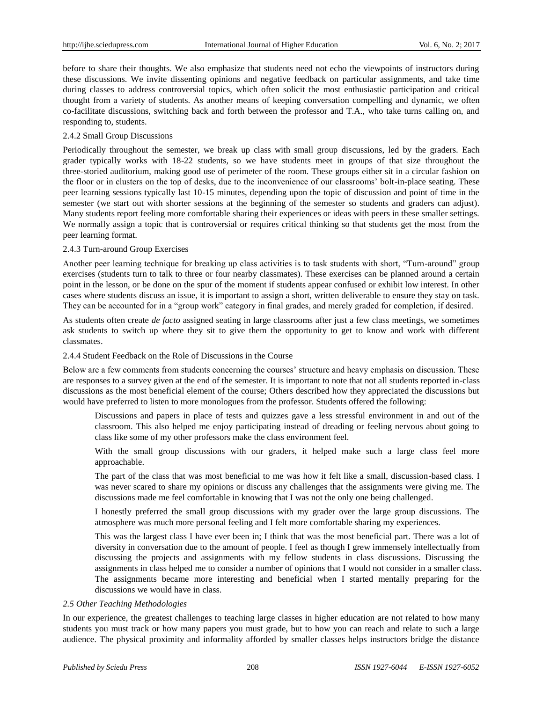before to share their thoughts. We also emphasize that students need not echo the viewpoints of instructors during these discussions. We invite dissenting opinions and negative feedback on particular assignments, and take time during classes to address controversial topics, which often solicit the most enthusiastic participation and critical thought from a variety of students. As another means of keeping conversation compelling and dynamic, we often co-facilitate discussions, switching back and forth between the professor and T.A., who take turns calling on, and responding to, students.

## 2.4.2 Small Group Discussions

Periodically throughout the semester, we break up class with small group discussions, led by the graders. Each grader typically works with 18-22 students, so we have students meet in groups of that size throughout the three-storied auditorium, making good use of perimeter of the room. These groups either sit in a circular fashion on the floor or in clusters on the top of desks, due to the inconvenience of our classrooms' bolt-in-place seating. These peer learning sessions typically last 10-15 minutes, depending upon the topic of discussion and point of time in the semester (we start out with shorter sessions at the beginning of the semester so students and graders can adjust). Many students report feeling more comfortable sharing their experiences or ideas with peers in these smaller settings. We normally assign a topic that is controversial or requires critical thinking so that students get the most from the peer learning format.

## 2.4.3 Turn-around Group Exercises

Another peer learning technique for breaking up class activities is to task students with short, "Turn-around" group exercises (students turn to talk to three or four nearby classmates). These exercises can be planned around a certain point in the lesson, or be done on the spur of the moment if students appear confused or exhibit low interest. In other cases where students discuss an issue, it is important to assign a short, written deliverable to ensure they stay on task. They can be accounted for in a "group work" category in final grades, and merely graded for completion, if desired.

As students often create *de facto* assigned seating in large classrooms after just a few class meetings, we sometimes ask students to switch up where they sit to give them the opportunity to get to know and work with different classmates.

## 2.4.4 Student Feedback on the Role of Discussions in the Course

Below are a few comments from students concerning the courses' structure and heavy emphasis on discussion. These are responses to a survey given at the end of the semester. It is important to note that not all students reported in-class discussions as the most beneficial element of the course; Others described how they appreciated the discussions but would have preferred to listen to more monologues from the professor. Students offered the following:

Discussions and papers in place of tests and quizzes gave a less stressful environment in and out of the classroom. This also helped me enjoy participating instead of dreading or feeling nervous about going to class like some of my other professors make the class environment feel.

With the small group discussions with our graders, it helped make such a large class feel more approachable.

The part of the class that was most beneficial to me was how it felt like a small, discussion-based class. I was never scared to share my opinions or discuss any challenges that the assignments were giving me. The discussions made me feel comfortable in knowing that I was not the only one being challenged.

I honestly preferred the small group discussions with my grader over the large group discussions. The atmosphere was much more personal feeling and I felt more comfortable sharing my experiences.

This was the largest class I have ever been in; I think that was the most beneficial part. There was a lot of diversity in conversation due to the amount of people. I feel as though I grew immensely intellectually from discussing the projects and assignments with my fellow students in class discussions. Discussing the assignments in class helped me to consider a number of opinions that I would not consider in a smaller class. The assignments became more interesting and beneficial when I started mentally preparing for the discussions we would have in class.

## *2.5 Other Teaching Methodologies*

In our experience, the greatest challenges to teaching large classes in higher education are not related to how many students you must track or how many papers you must grade, but to how you can reach and relate to such a large audience. The physical proximity and informality afforded by smaller classes helps instructors bridge the distance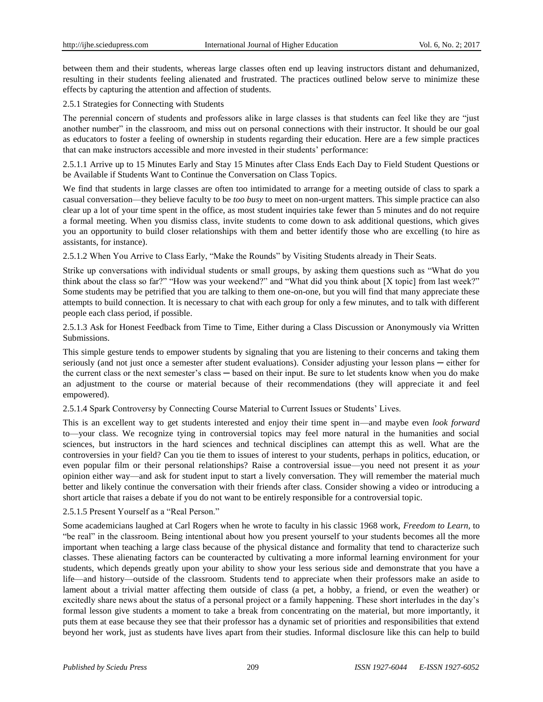between them and their students, whereas large classes often end up leaving instructors distant and dehumanized, resulting in their students feeling alienated and frustrated. The practices outlined below serve to minimize these effects by capturing the attention and affection of students.

# 2.5.1 Strategies for Connecting with Students

The perennial concern of students and professors alike in large classes is that students can feel like they are "just another number" in the classroom, and miss out on personal connections with their instructor. It should be our goal as educators to foster a feeling of ownership in students regarding their education. Here are a few simple practices that can make instructors accessible and more invested in their students' performance:

2.5.1.1 Arrive up to 15 Minutes Early and Stay 15 Minutes after Class Ends Each Day to Field Student Questions or be Available if Students Want to Continue the Conversation on Class Topics.

We find that students in large classes are often too intimidated to arrange for a meeting outside of class to spark a casual conversation—they believe faculty to be *too busy* to meet on non-urgent matters. This simple practice can also clear up a lot of your time spent in the office, as most student inquiries take fewer than 5 minutes and do not require a formal meeting. When you dismiss class, invite students to come down to ask additional questions, which gives you an opportunity to build closer relationships with them and better identify those who are excelling (to hire as assistants, for instance).

2.5.1.2 When You Arrive to Class Early, "Make the Rounds" by Visiting Students already in Their Seats.

Strike up conversations with individual students or small groups, by asking them questions such as "What do you think about the class so far?" "How was your weekend?" and "What did you think about [X topic] from last week?" Some students may be petrified that you are talking to them one-on-one, but you will find that many appreciate these attempts to build connection. It is necessary to chat with each group for only a few minutes, and to talk with different people each class period, if possible.

2.5.1.3 Ask for Honest Feedback from Time to Time, Either during a Class Discussion or Anonymously via Written Submissions.

This simple gesture tends to empower students by signaling that you are listening to their concerns and taking them seriously (and not just once a semester after student evaluations). Consider adjusting your lesson plans — either for the current class or the next semester's class — based on their input. Be sure to let students know when you do make an adjustment to the course or material because of their recommendations (they will appreciate it and feel empowered).

# 2.5.1.4 Spark Controversy by Connecting Course Material to Current Issues or Students' Lives.

This is an excellent way to get students interested and enjoy their time spent in—and maybe even *look forward* to—your class. We recognize tying in controversial topics may feel more natural in the humanities and social sciences, but instructors in the hard sciences and technical disciplines can attempt this as well. What are the controversies in your field? Can you tie them to issues of interest to your students, perhaps in politics, education, or even popular film or their personal relationships? Raise a controversial issue—you need not present it as *your*  opinion either way—and ask for student input to start a lively conversation. They will remember the material much better and likely continue the conversation with their friends after class. Consider showing a video or introducing a short article that raises a debate if you do not want to be entirely responsible for a controversial topic.

## 2.5.1.5 Present Yourself as a "Real Person."

Some academicians laughed at Carl Rogers when he wrote to faculty in his classic 1968 work, *Freedom to Learn,* to "be real" in the classroom. Being intentional about how you present yourself to your students becomes all the more important when teaching a large class because of the physical distance and formality that tend to characterize such classes. These alienating factors can be counteracted by cultivating a more informal learning environment for your students, which depends greatly upon your ability to show your less serious side and demonstrate that you have a life—and history—outside of the classroom. Students tend to appreciate when their professors make an aside to lament about a trivial matter affecting them outside of class (a pet, a hobby, a friend, or even the weather) or excitedly share news about the status of a personal project or a family happening. These short interludes in the day's formal lesson give students a moment to take a break from concentrating on the material, but more importantly, it puts them at ease because they see that their professor has a dynamic set of priorities and responsibilities that extend beyond her work, just as students have lives apart from their studies. Informal disclosure like this can help to build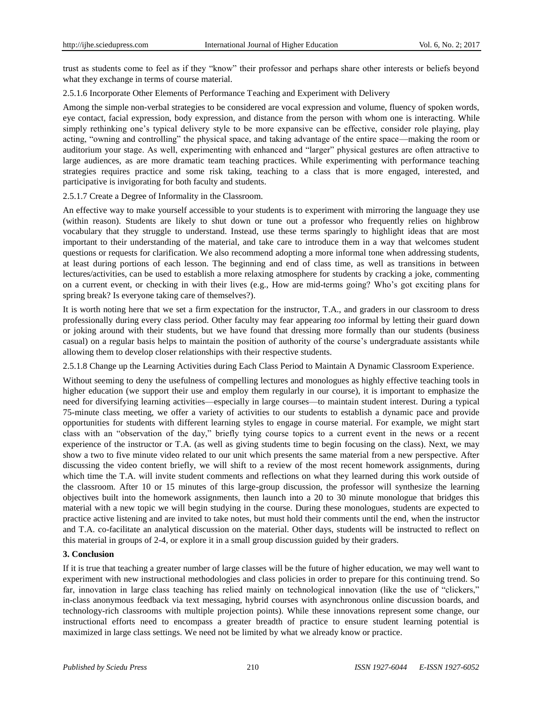trust as students come to feel as if they "know" their professor and perhaps share other interests or beliefs beyond what they exchange in terms of course material.

2.5.1.6 Incorporate Other Elements of Performance Teaching and Experiment with Delivery

Among the simple non-verbal strategies to be considered are vocal expression and volume, fluency of spoken words, eye contact, facial expression, body expression, and distance from the person with whom one is interacting. While simply rethinking one's typical delivery style to be more expansive can be effective, consider role playing, play acting, "owning and controlling" the physical space, and taking advantage of the entire space—making the room or auditorium your stage. As well, experimenting with enhanced and "larger" physical gestures are often attractive to large audiences, as are more dramatic team teaching practices. While experimenting with performance teaching strategies requires practice and some risk taking, teaching to a class that is more engaged, interested, and participative is invigorating for both faculty and students.

## 2.5.1.7 Create a Degree of Informality in the Classroom.

An effective way to make yourself accessible to your students is to experiment with mirroring the language they use (within reason). Students are likely to shut down or tune out a professor who frequently relies on highbrow vocabulary that they struggle to understand. Instead, use these terms sparingly to highlight ideas that are most important to their understanding of the material, and take care to introduce them in a way that welcomes student questions or requests for clarification. We also recommend adopting a more informal tone when addressing students, at least during portions of each lesson. The beginning and end of class time, as well as transitions in between lectures/activities, can be used to establish a more relaxing atmosphere for students by cracking a joke, commenting on a current event, or checking in with their lives (e.g., How are mid-terms going? Who's got exciting plans for spring break? Is everyone taking care of themselves?).

It is worth noting here that we set a firm expectation for the instructor, T.A., and graders in our classroom to dress professionally during every class period. Other faculty may fear appearing *too* informal by letting their guard down or joking around with their students, but we have found that dressing more formally than our students (business casual) on a regular basis helps to maintain the position of authority of the course's undergraduate assistants while allowing them to develop closer relationships with their respective students.

2.5.1.8 Change up the Learning Activities during Each Class Period to Maintain A Dynamic Classroom Experience.

Without seeming to deny the usefulness of compelling lectures and monologues as highly effective teaching tools in higher education (we support their use and employ them regularly in our course), it is important to emphasize the need for diversifying learning activities—especially in large courses—to maintain student interest. During a typical 75-minute class meeting, we offer a variety of activities to our students to establish a dynamic pace and provide opportunities for students with different learning styles to engage in course material. For example, we might start class with an "observation of the day," briefly tying course topics to a current event in the news or a recent experience of the instructor or T.A. (as well as giving students time to begin focusing on the class). Next, we may show a two to five minute video related to our unit which presents the same material from a new perspective. After discussing the video content briefly, we will shift to a review of the most recent homework assignments, during which time the T.A. will invite student comments and reflections on what they learned during this work outside of the classroom. After 10 or 15 minutes of this large-group discussion, the professor will synthesize the learning objectives built into the homework assignments, then launch into a 20 to 30 minute monologue that bridges this material with a new topic we will begin studying in the course. During these monologues, students are expected to practice active listening and are invited to take notes, but must hold their comments until the end, when the instructor and T.A. co-facilitate an analytical discussion on the material. Other days, students will be instructed to reflect on this material in groups of 2-4, or explore it in a small group discussion guided by their graders.

# **3. Conclusion**

If it is true that teaching a greater number of large classes will be the future of higher education, we may well want to experiment with new instructional methodologies and class policies in order to prepare for this continuing trend. So far, innovation in large class teaching has relied mainly on technological innovation (like the use of "clickers," in-class anonymous feedback via text messaging, hybrid courses with asynchronous online discussion boards, and technology-rich classrooms with multiple projection points). While these innovations represent some change, our instructional efforts need to encompass a greater breadth of practice to ensure student learning potential is maximized in large class settings. We need not be limited by what we already know or practice.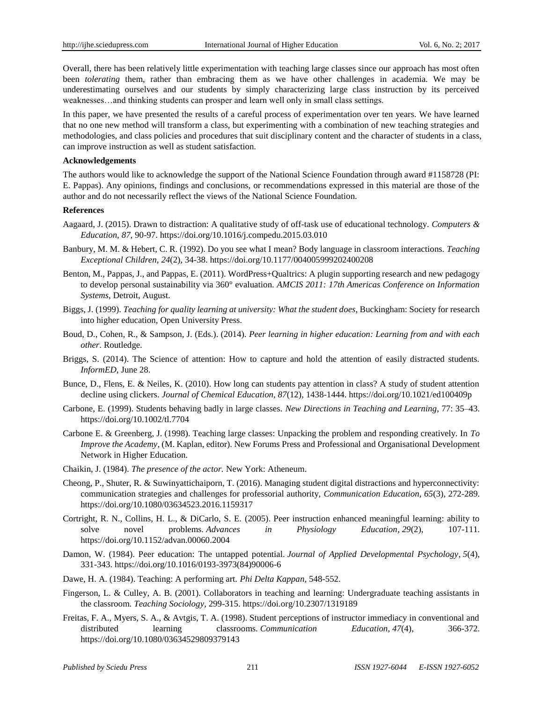Overall, there has been relatively little experimentation with teaching large classes since our approach has most often been *tolerating* them, rather than embracing them as we have other challenges in academia. We may be underestimating ourselves and our students by simply characterizing large class instruction by its perceived weaknesses…and thinking students can prosper and learn well only in small class settings.

In this paper, we have presented the results of a careful process of experimentation over ten years. We have learned that no one new method will transform a class, but experimenting with a combination of new teaching strategies and methodologies, and class policies and procedures that suit disciplinary content and the character of students in a class, can improve instruction as well as student satisfaction.

## **Acknowledgements**

The authors would like to acknowledge the support of the National Science Foundation through award #1158728 (PI: E. Pappas). Any opinions, findings and conclusions, or recommendations expressed in this material are those of the author and do not necessarily reflect the views of the National Science Foundation.

## **References**

- Aagaard, J. (2015). Drawn to distraction: A qualitative study of off-task use of educational technology. *Computers & Education*, *87*, 90-97[. https://doi.org/10.1016/j.compedu.2015.03.010](https://doi.org/10.1016/j.compedu.2015.03.010)
- Banbury, M. M. & Hebert, C. R. (1992). Do you see what I mean? Body language in classroom interactions. *Teaching Exceptional Children*, *24*(2), 34-38. <https://doi.org/10.1177/004005999202400208>
- Benton, M., Pappas, J., and Pappas, E. (2011). WordPress+Qualtrics: A plugin supporting research and new pedagogy to develop personal sustainability via 360° evaluation. *AMCIS 2011: 17th Americas Conference on Information Systems*, Detroit, August.
- Biggs, J. (1999). *Teaching for quality learning at university: What the student does*, Buckingham: Society for research into higher education, Open University Press.
- Boud, D., Cohen, R., & Sampson, J. (Eds.). (2014). *Peer learning in higher education: Learning from and with each other*. Routledge.
- Briggs, S. (2014). The Science of attention: How to capture and hold the attention of easily distracted students. *InformED,* June 28.
- Bunce, D., Flens, E. & Neiles, K. (2010). How long can students pay attention in class? A study of student attention decline using clickers. *Journal of Chemical Education, 87*(12), 1438-1444[. https://doi.org/10.1021/ed100409p](https://doi.org/10.1021/ed100409p)
- Carbone, E. (1999). Students behaving badly in large classes. *New Directions in Teaching and Learning*, 77: 35–43. <https://doi.org/10.1002/tl.7704>
- Carbone E. & Greenberg, J. (1998). Teaching large classes: Unpacking the problem and responding creatively. In *To Improve the Academy*, (M. Kaplan, editor). New Forums Press and Professional and Organisational Development Network in Higher Education.
- Chaikin, J. (1984). *The presence of the actor.* New York: Atheneum.
- Cheong, P., Shuter, R. & Suwinyattichaiporn, T. (2016). Managing student digital distractions and hyperconnectivity: communication strategies and challenges for professorial authority, *Communication Education, 65*(3), 272-289. <https://doi.org/10.1080/03634523.2016.1159317>
- Cortright, R. N., Collins, H. L., & DiCarlo, S. E. (2005). Peer instruction enhanced meaningful learning: ability to solve novel problems. *Advances in Physiology Education*, *29*(2), 107-111. <https://doi.org/10.1152/advan.00060.2004>
- Damon, W. (1984). Peer education: The untapped potential. *Journal of Applied Developmental Psychology*, *5*(4), 331-343. [https://doi.org/10.1016/0193-3973\(84\)90006-6](https://doi.org/10.1016/0193-3973(84)90006-6)
- Dawe, H. A. (1984). Teaching: A performing art. *Phi Delta Kappan*, 548-552.
- Fingerson, L. & Culley, A. B. (2001). Collaborators in teaching and learning: Undergraduate teaching assistants in the classroom. *Teaching Sociology*, 299-315. <https://doi.org/10.2307/1319189>
- Freitas, F. A., Myers, S. A., & Avtgis, T. A. (1998). Student perceptions of instructor immediacy in conventional and distributed learning classrooms. *Communication Education*, *47*(4), 366-372. <https://doi.org/10.1080/03634529809379143>